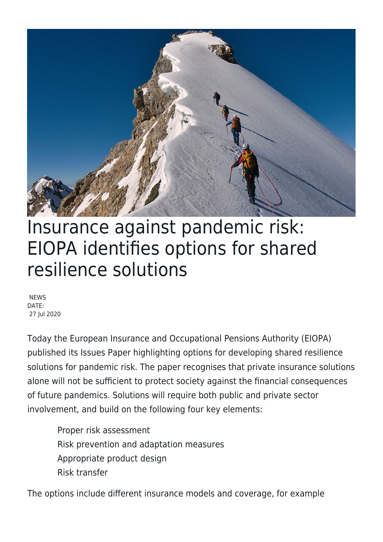

## Insurance against pandemic risk: EIOPA identifies options for shared resilience solutions

**NEWS** DATE: 27 Jul 2020

Today the European Insurance and Occupational Pensions Authority (EIOPA) published its Issues Paper highlighting options for developing shared resilience solutions for pandemic risk. The paper recognises that private insurance solutions alone will not be sufficient to protect society against the financial consequences of future pandemics. Solutions will require both public and private sector involvement, and build on the following four key elements:

Proper risk assessment Risk prevention and adaptation measures Appropriate product design Risk transfer

The options include different insurance models and coverage, for example